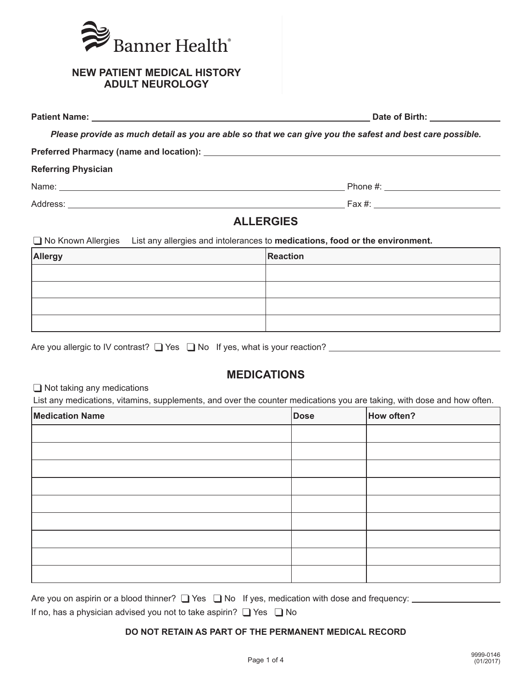

|                            | Date of Birth: <u>New York Birth Street and American Street and American Street and American Street and American</u> |
|----------------------------|----------------------------------------------------------------------------------------------------------------------|
|                            | Please provide as much detail as you are able so that we can give you the safest and best care possible.             |
|                            |                                                                                                                      |
| <b>Referring Physician</b> |                                                                                                                      |
|                            |                                                                                                                      |
|                            |                                                                                                                      |
|                            | ALL ERGIES                                                                                                           |

## **ALLERGIES**

❑ No Known Allergies List any allergies and intolerances to **medications, food or the environment.**

| Allergy | Reaction |
|---------|----------|
|         |          |
|         |          |
|         |          |
|         |          |

| Are you allergic to IV contrast? $\Box$ Yes $\Box$ No If yes, what is your reaction? |  |  |
|--------------------------------------------------------------------------------------|--|--|
|                                                                                      |  |  |
|                                                                                      |  |  |

# **MEDICATIONS**

❑ Not taking any medications

List any medications, vitamins, supplements, and over the counter medications you are taking, with dose and how often.

| <b>Medication Name</b> | Dose | How often? |
|------------------------|------|------------|
|                        |      |            |
|                        |      |            |
|                        |      |            |
|                        |      |            |
|                        |      |            |
|                        |      |            |
|                        |      |            |
|                        |      |            |
|                        |      |            |

| Are you on aspirin or a blood thinner? $\Box$ Yes $\Box$ No If yes, medication with dose and frequency: |  |  |
|---------------------------------------------------------------------------------------------------------|--|--|
|---------------------------------------------------------------------------------------------------------|--|--|

If no, has a physician advised you not to take aspirin? ❑ Yes ❑ No

### **DO NOT RETAIN AS PART OF THE PERMANENT MEDICAL RECORD**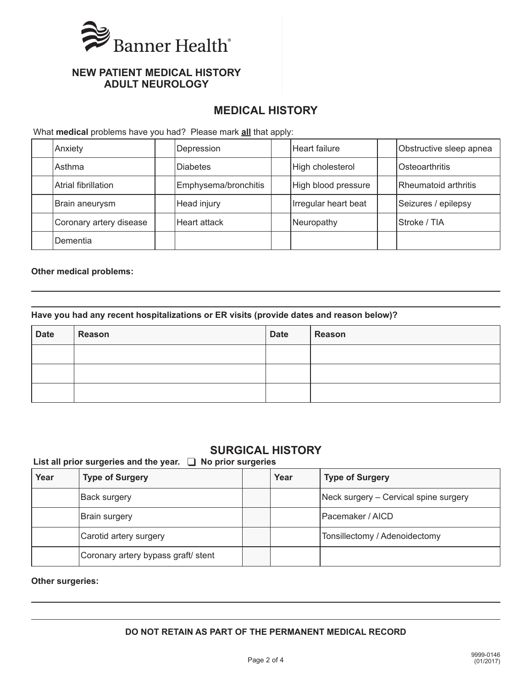

# **MEDICAL HISTORY**

What **medical** problems have you had? Please mark **all** that apply:

| Anxiety                 | Depression           | Heart failure        | Obstructive sleep apnea |
|-------------------------|----------------------|----------------------|-------------------------|
| Asthma                  | <b>Diabetes</b>      | High cholesterol     | Osteoarthritis          |
| Atrial fibrillation     | Emphysema/bronchitis | High blood pressure  | Rheumatoid arthritis    |
| Brain aneurysm          | Head injury          | Irregular heart beat | Seizures / epilepsy     |
| Coronary artery disease | Heart attack         | Neuropathy           | Stroke / TIA            |
| Dementia                |                      |                      |                         |

#### **Other medical problems:**

#### **Have you had any recent hospitalizations or ER visits (provide dates and reason below)?**

| <b>Date</b> | Reason | <b>Date</b> | Reason |
|-------------|--------|-------------|--------|
|             |        |             |        |
|             |        |             |        |
|             |        |             |        |

## **SURGICAL HISTORY**

**List all prior surgeries and the year.** ❑ **No prior surgeries** 

| Year | <b>Type of Surgery</b>              | Year | <b>Type of Surgery</b>                |
|------|-------------------------------------|------|---------------------------------------|
|      | Back surgery                        |      | Neck surgery – Cervical spine surgery |
|      | Brain surgery                       |      | Pacemaker / AICD                      |
|      | Carotid artery surgery              |      | Tonsillectomy / Adenoidectomy         |
|      | Coronary artery bypass graft/ stent |      |                                       |

**Other surgeries:**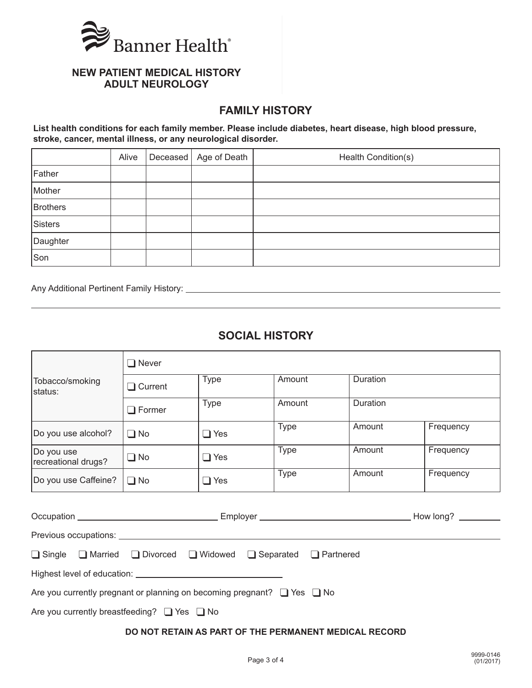

## **FAMILY HISTORY**

**List health conditions for each family member. Please include diabetes, heart disease, high blood pressure, stroke, cancer, mental illness, or any neurological disorder.**

|                | Alive | Deceased   Age of Death | Health Condition(s) |
|----------------|-------|-------------------------|---------------------|
| Father         |       |                         |                     |
| Mother         |       |                         |                     |
| Brothers       |       |                         |                     |
| <b>Sisters</b> |       |                         |                     |
| Daughter       |       |                         |                     |
| Son            |       |                         |                     |

Any Additional Pertinent Family History:

# **SOCIAL HISTORY**

|                                                                 | $\square$ Never                                                                   |             |             |          |           |  |  |  |
|-----------------------------------------------------------------|-----------------------------------------------------------------------------------|-------------|-------------|----------|-----------|--|--|--|
| Tobacco/smoking<br>status:                                      | <b>Type</b><br>$\Box$ Current                                                     |             | Amount      | Duration |           |  |  |  |
|                                                                 | $\Box$ Former                                                                     | <b>Type</b> | Amount      | Duration |           |  |  |  |
| Do you use alcohol?                                             | $\Box$ No                                                                         | $\Box$ Yes  | <b>Type</b> | Amount   | Frequency |  |  |  |
| Do you use<br>recreational drugs?                               | $\Box$ No                                                                         | $\Box$ Yes  | <b>Type</b> | Amount   | Frequency |  |  |  |
| Do you use Caffeine?                                            | $\Box$ No                                                                         | $\Box$ Yes  | <b>Type</b> | Amount   | Frequency |  |  |  |
|                                                                 |                                                                                   |             |             |          |           |  |  |  |
|                                                                 |                                                                                   |             |             |          |           |  |  |  |
| □ Single □ Married □ Divorced □ Widowed □ Separated □ Partnered |                                                                                   |             |             |          |           |  |  |  |
|                                                                 | Are you currently pregnant or planning on becoming pregnant? $\Box$ Yes $\Box$ No |             |             |          |           |  |  |  |
| Are you currently breastfeeding? $\Box$ Yes $\Box$ No           |                                                                                   |             |             |          |           |  |  |  |

### **DO NOT RETAIN AS PART OF THE PERMANENT MEDICAL RECORD**